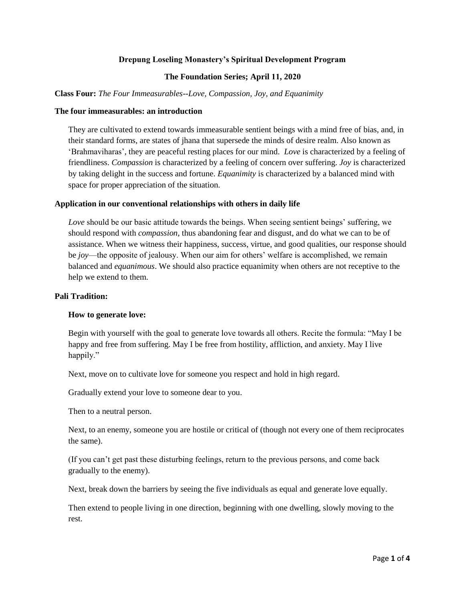## **Drepung Loseling Monastery's Spiritual Development Program**

#### **The Foundation Series; April 11, 2020**

**Class Four:** *The Four Immeasurables--Love, Compassion, Joy, and Equanimity* 

#### **The four immeasurables: an introduction**

They are cultivated to extend towards immeasurable sentient beings with a mind free of bias, and, in their standard forms, are states of jhana that supersede the minds of desire realm. Also known as 'Brahmaviharas', they are peaceful resting places for our mind. *Love* is characterized by a feeling of friendliness. *Compassion* is characterized by a feeling of concern over suffering. *Joy* is characterized by taking delight in the success and fortune. *Equanimity* is characterized by a balanced mind with space for proper appreciation of the situation.

#### **Application in our conventional relationships with others in daily life**

*Love* should be our basic attitude towards the beings. When seeing sentient beings' suffering, we should respond with *compassion*, thus abandoning fear and disgust, and do what we can to be of assistance. When we witness their happiness, success, virtue, and good qualities, our response should be *joy*—the opposite of jealousy. When our aim for others' welfare is accomplished, we remain balanced and *equanimous*. We should also practice equanimity when others are not receptive to the help we extend to them.

## **Pali Tradition:**

#### **How to generate love:**

Begin with yourself with the goal to generate love towards all others. Recite the formula: "May I be happy and free from suffering. May I be free from hostility, affliction, and anxiety. May I live happily."

Next, move on to cultivate love for someone you respect and hold in high regard.

Gradually extend your love to someone dear to you.

Then to a neutral person.

Next, to an enemy, someone you are hostile or critical of (though not every one of them reciprocates the same).

(If you can't get past these disturbing feelings, return to the previous persons, and come back gradually to the enemy).

Next, break down the barriers by seeing the five individuals as equal and generate love equally.

Then extend to people living in one direction, beginning with one dwelling, slowly moving to the rest.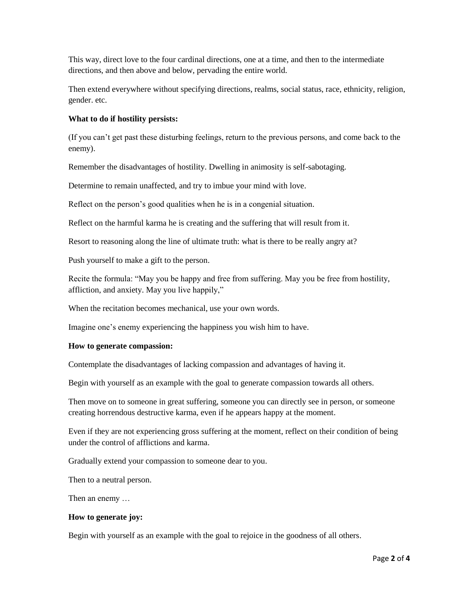This way, direct love to the four cardinal directions, one at a time, and then to the intermediate directions, and then above and below, pervading the entire world.

Then extend everywhere without specifying directions, realms, social status, race, ethnicity, religion, gender. etc.

# **What to do if hostility persists:**

(If you can't get past these disturbing feelings, return to the previous persons, and come back to the enemy).

Remember the disadvantages of hostility. Dwelling in animosity is self-sabotaging.

Determine to remain unaffected, and try to imbue your mind with love.

Reflect on the person's good qualities when he is in a congenial situation.

Reflect on the harmful karma he is creating and the suffering that will result from it.

Resort to reasoning along the line of ultimate truth: what is there to be really angry at?

Push yourself to make a gift to the person.

Recite the formula: "May you be happy and free from suffering. May you be free from hostility, affliction, and anxiety. May you live happily,"

When the recitation becomes mechanical, use your own words.

Imagine one's enemy experiencing the happiness you wish him to have.

# **How to generate compassion:**

Contemplate the disadvantages of lacking compassion and advantages of having it.

Begin with yourself as an example with the goal to generate compassion towards all others.

Then move on to someone in great suffering, someone you can directly see in person, or someone creating horrendous destructive karma, even if he appears happy at the moment.

Even if they are not experiencing gross suffering at the moment, reflect on their condition of being under the control of afflictions and karma.

Gradually extend your compassion to someone dear to you.

Then to a neutral person.

Then an enemy …

# **How to generate joy:**

Begin with yourself as an example with the goal to rejoice in the goodness of all others.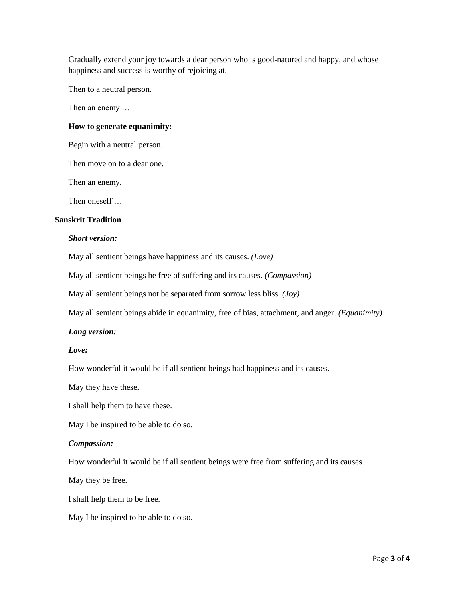Gradually extend your joy towards a dear person who is good-natured and happy, and whose happiness and success is worthy of rejoicing at.

Then to a neutral person.

Then an enemy …

#### **How to generate equanimity:**

Begin with a neutral person.

Then move on to a dear one.

Then an enemy.

Then oneself …

## **Sanskrit Tradition**

## *Short version:*

May all sentient beings have happiness and its causes. *(Love)*

May all sentient beings be free of suffering and its causes. *(Compassion)*

May all sentient beings not be separated from sorrow less bliss*. (Joy)*

May all sentient beings abide in equanimity, free of bias, attachment, and anger. *(Equanimity)*

## *Long version:*

# *Love:*

How wonderful it would be if all sentient beings had happiness and its causes.

May they have these.

I shall help them to have these.

May I be inspired to be able to do so.

#### *Compassion:*

How wonderful it would be if all sentient beings were free from suffering and its causes.

May they be free.

I shall help them to be free.

May I be inspired to be able to do so.